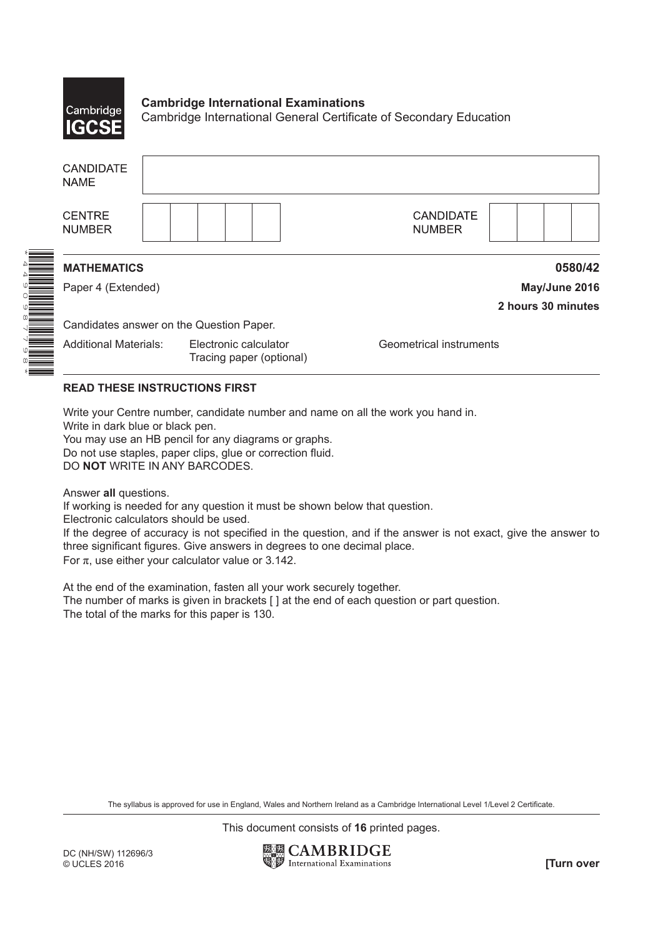

\*

## **Cambridge International Examinations** Cambridge International General Certificate of Secondary Education

| <b>CANDIDATE</b><br><b>NAME</b>          |                                                   |                                   |  |  |  |  |
|------------------------------------------|---------------------------------------------------|-----------------------------------|--|--|--|--|
| <b>CENTRE</b><br><b>NUMBER</b>           |                                                   | <b>CANDIDATE</b><br><b>NUMBER</b> |  |  |  |  |
| <b>MATHEMATICS</b>                       |                                                   | 0580/42                           |  |  |  |  |
| Paper 4 (Extended)                       |                                                   | May/June 2016                     |  |  |  |  |
|                                          |                                                   | 2 hours 30 minutes                |  |  |  |  |
| Candidates answer on the Question Paper. |                                                   |                                   |  |  |  |  |
| <b>Additional Materials:</b>             | Electronic calculator<br>Tracing paper (optional) | Geometrical instruments           |  |  |  |  |

## **READ THESE INSTRUCTIONS FIRST**

Write your Centre number, candidate number and name on all the work you hand in.

Write in dark blue or black pen.

You may use an HB pencil for any diagrams or graphs.

Do not use staples, paper clips, glue or correction fluid.

DO **NOT** WRITE IN ANY BARCODES.

Answer **all** questions.

If working is needed for any question it must be shown below that question.

Electronic calculators should be used.

If the degree of accuracy is not specified in the question, and if the answer is not exact, give the answer to three significant figures. Give answers in degrees to one decimal place.

For  $\pi$ , use either your calculator value or 3.142.

At the end of the examination, fasten all your work securely together. The number of marks is given in brackets [ ] at the end of each question or part question. The total of the marks for this paper is 130.

The syllabus is approved for use in England, Wales and Northern Ireland as a Cambridge International Level 1/Level 2 Certificate.

This document consists of **16** printed pages.

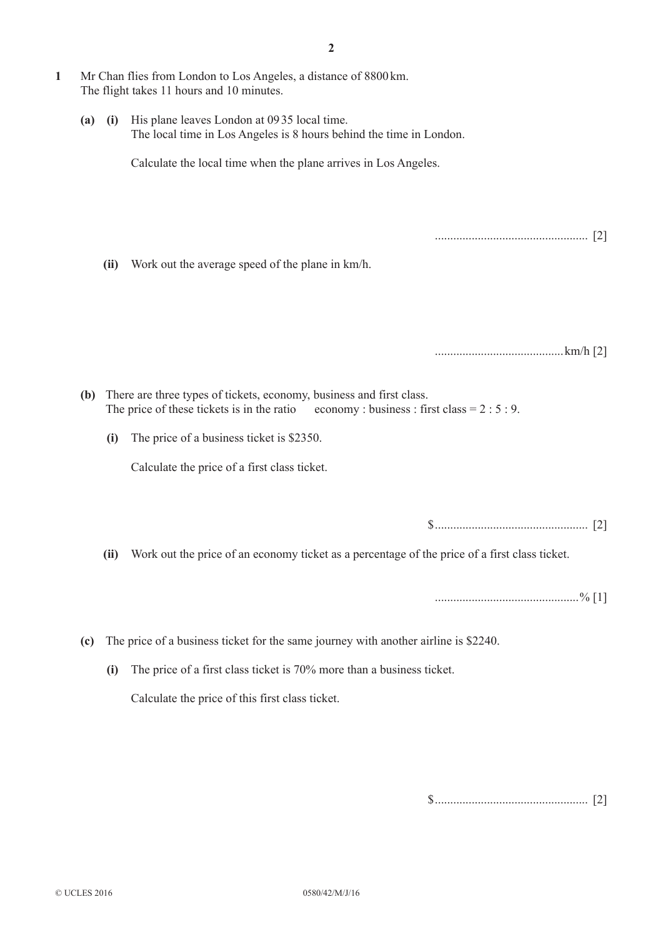**1**  Mr Chan flies from London to Los Angeles, a distance of 8800km. The flight takes 11 hours and 10 minutes. **(a)** (i) His plane leaves London at 0935 local time. The local time in Los Angeles is 8 hours behind the time in London. Calculate the local time when the plane arrives in Los Angeles. .................................................. [2] **(ii)** Work out the average speed of the plane in km/h. ..........................................km/h [2] **(b)** There are three types of tickets, economy, business and first class. The price of these tickets is in the ratio economy : business : first class  $= 2 : 5 : 9$ . **(i)** The price of a business ticket is \$2350. Calculate the price of a first class ticket. \$.................................................. [2] **(ii)** Work out the price of an economy ticket as a percentage of the price of a first class ticket. ...............................................% [1] **(c)** The price of a business ticket for the same journey with another airline is \$2240. **(i)** The price of a first class ticket is 70% more than a business ticket. Calculate the price of this first class ticket.

**2**

\$.................................................. [2]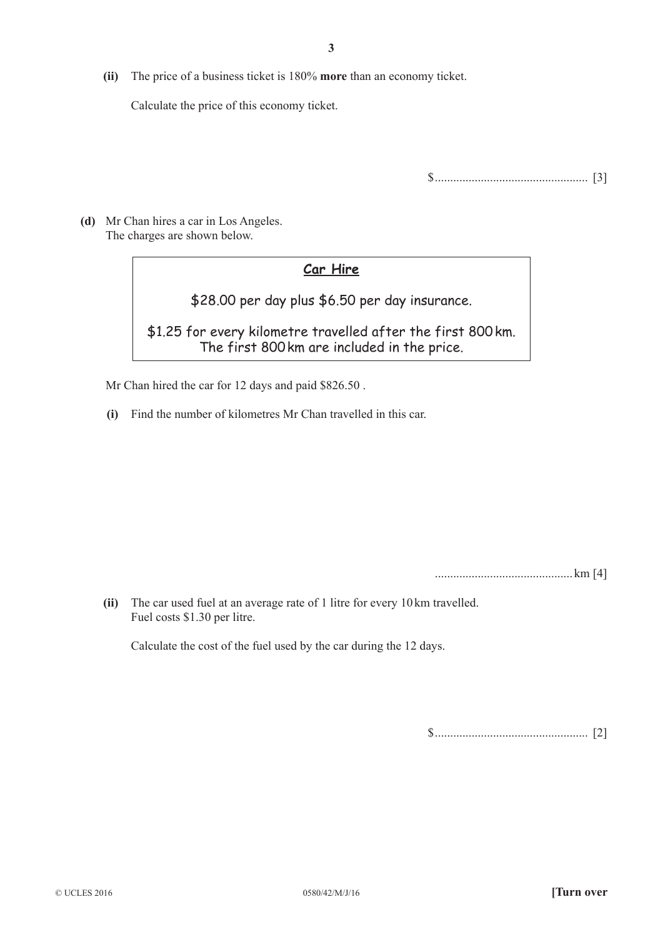**(ii)** The price of a business ticket is 180% **more** than an economy ticket.

Calculate the price of this economy ticket.

\$.................................................. [3]

 **(d)**  Mr Chan hires a car in Los Angeles. The charges are shown below.

## **Car Hire**

\$28.00 per day plus \$6.50 per day insurance.

\$1.25 for every kilometre travelled after the first 800km. The first 800km are included in the price.

Mr Chan hired the car for 12 days and paid \$826.50.

**(i)** Find the number of kilometres Mr Chan travelled in this car.

............................................. km [4]

**(ii)** The car used fuel at an average rate of 1 litre for every 10 km travelled. Fuel costs \$1.30 per litre.

Calculate the cost of the fuel used by the car during the 12 days.

\$.................................................. [2]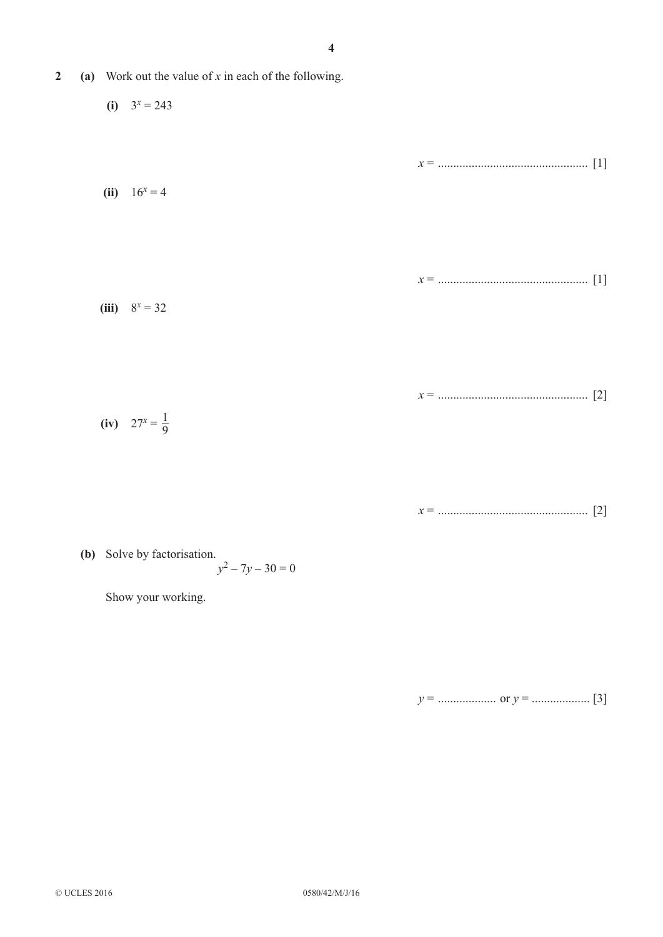- **2** (a) Work out the value of *x* in each of the following.
- $(i)$   $3^x = 243$ *x* = ................................................. [1]  $(iii)$  16<sup>*x*</sup> = 4 *x* = ................................................. [1]  $(iii)$  8<sup>*x*</sup> = 32 *x* = ................................................. [2] **(iv)**  $27^x = \frac{1}{9}$

*x* = ................................................. [2]

**(b)** Solve by factorisation.  $y^2 - 7y - 30 = 0$ 

Show your working.

*y* = ................... or *y* = ................... [3]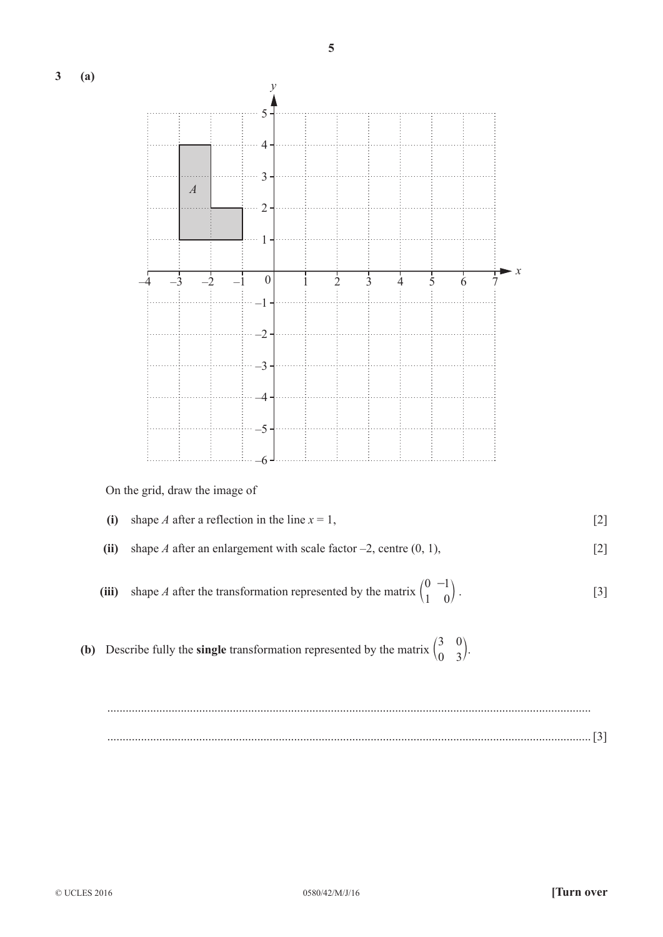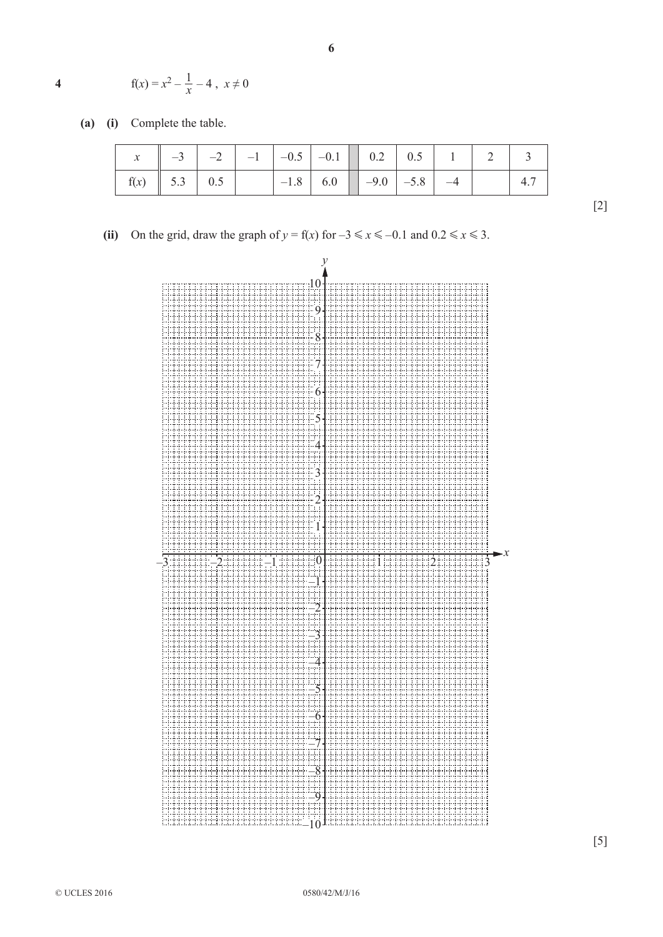4 
$$
f(x) = x^2 - \frac{1}{x} - 4
$$
,  $x \neq 0$ 

 **(a) (i)**  Complete the table.

| $x_{h}$ |                    |  | $-3$ $-2$ $-1$ $-0.5$ $-0.1$ 0.2 0.5 1 2 3                  |  |  |  |
|---------|--------------------|--|-------------------------------------------------------------|--|--|--|
|         | $f(x)$   5.3   0.5 |  | $-1.8$ 6.0 $\begin{vmatrix} -9.0 & -5.8 & -4 \end{vmatrix}$ |  |  |  |

**6**

**(ii)** On the grid, draw the graph of  $y = f(x)$  for  $-3 \le x \le -0.1$  and  $0.2 \le x \le 3$ .



[2]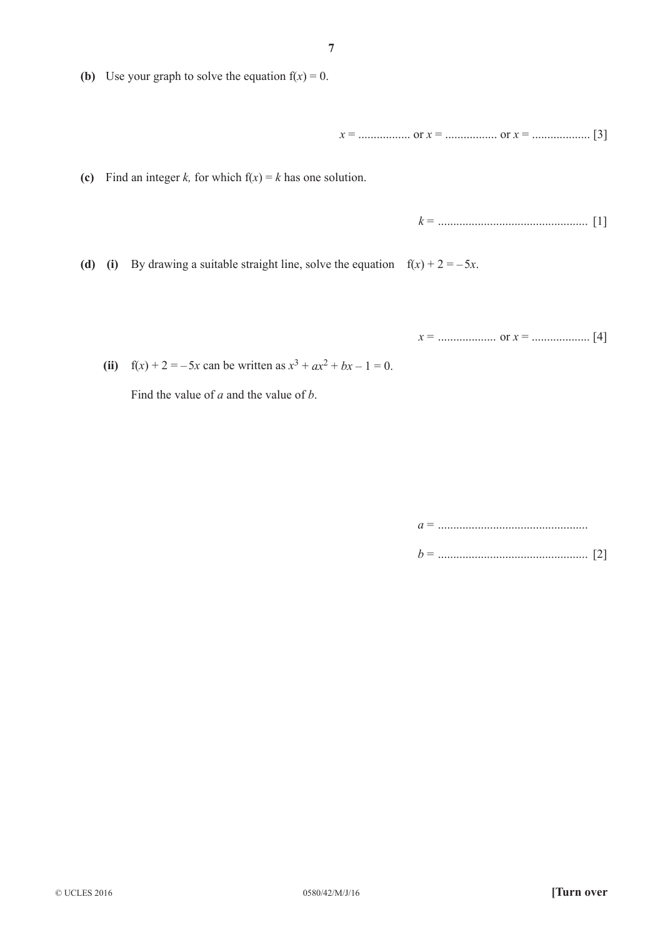**(b)** Use your graph to solve the equation  $f(x) = 0$ .

*x* = ................. or *x* = ................. or *x* = ................... [3]

**(c)** Find an integer *k*, for which  $f(x) = k$  has one solution.

*k* = ................................................. [1]

**(d)** (i) By drawing a suitable straight line, solve the equation  $f(x) + 2 = -5x$ .

*x* = ................... or *x* = ................... [4]

**(ii)**  $f(x) + 2 = -5x$  can be written as  $x^3 + ax^2 + bx - 1 = 0$ .

Find the value of *a* and the value of *b*.

*a* = ................................................. *b* = ................................................. [2]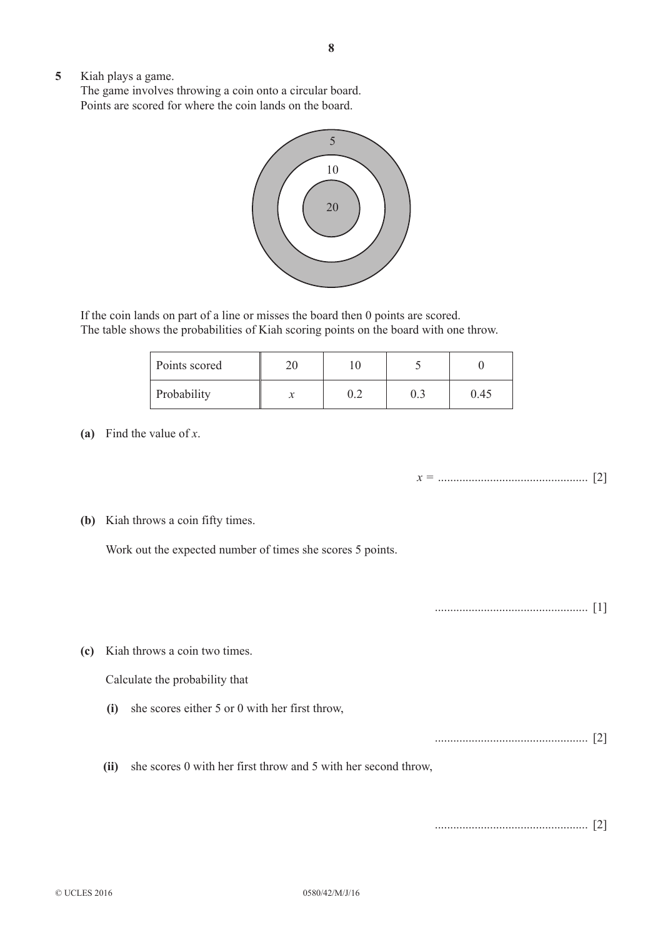**5**  Kiah plays a game.

The game involves throwing a coin onto a circular board. Points are scored for where the coin lands on the board.



If the coin lands on part of a line or misses the board then 0 points are scored. The table shows the probabilities of Kiah scoring points on the board with one throw.

| Points scored |  |      |
|---------------|--|------|
| Probability   |  | 9.45 |

 **(a)**  Find the value of *x*.

*x =* ................................................. [2]

**(b)** Kiah throws a coin fifty times.

Work out the expected number of times she scores 5 points.

.................................................. [1]

 **(c)**  Kiah throws a coin two times.

Calculate the probability that

**(i)** she scores either 5 or 0 with her first throw,

.................................................. [2]

**(ii)** she scores 0 with her first throw and 5 with her second throw,

.................................................. [2]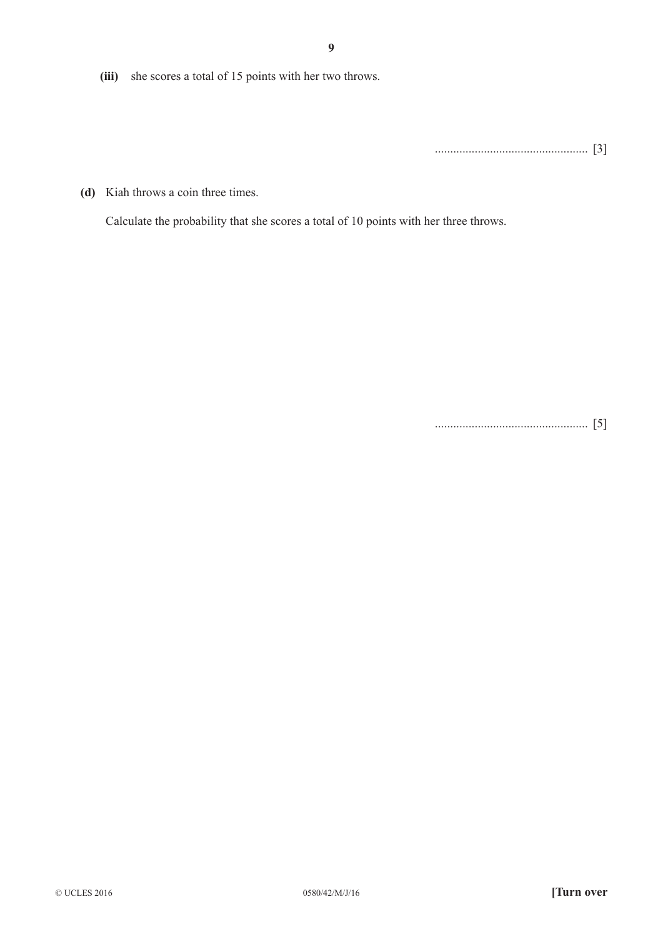**(iii)** she scores a total of 15 points with her two throws.

.................................................. [3]

**(d)** Kiah throws a coin three times.

Calculate the probability that she scores a total of 10 points with her three throws.

.................................................. [5]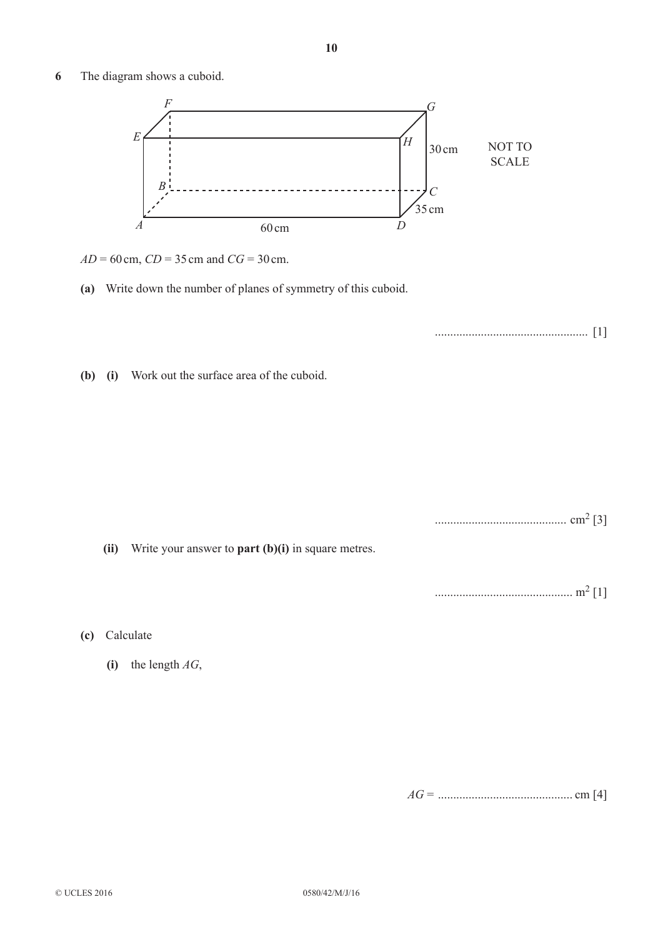**6**  The diagram shows a cuboid.



- *AD* = 60cm, *CD* = 35cm and *CG* = 30cm.
- **(a)** Write down the number of planes of symmetry of this cuboid.

.................................................. [1]

**(b)** (i) Work out the surface area of the cuboid.

........................................... cm2 [3]

**(ii)** Write your answer to **part (b)(i)** in square metres.

............................................. m2 [1]

- **(c)**  Calculate
	- $(i)$  the length *AG*,

*AG* = ............................................ cm [4]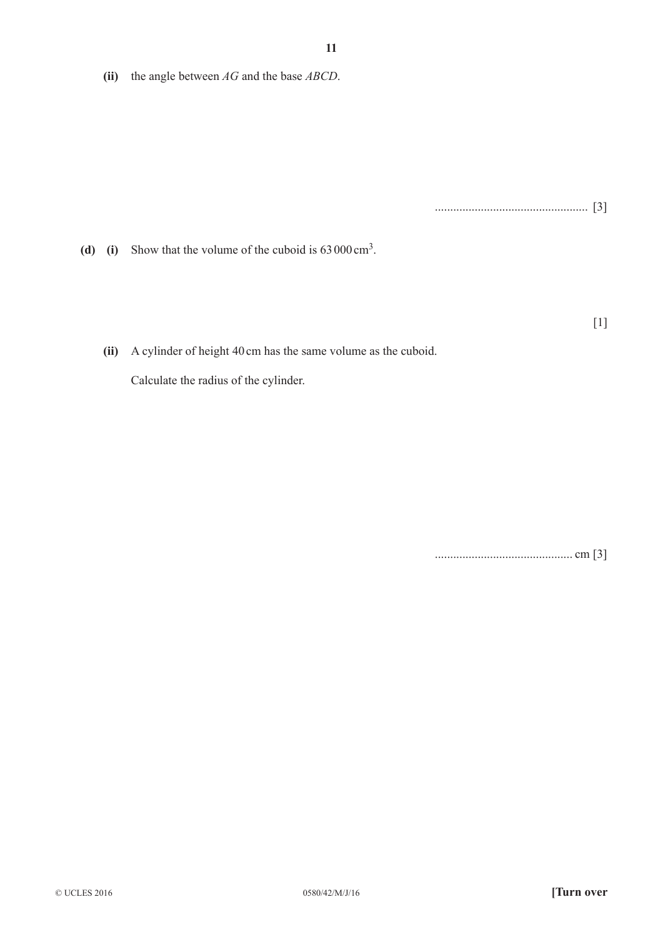**(ii)** the angle between *AG* and the base *ABCD*.

.................................................. [3]

**(d)** (i) Show that the volume of the cuboid is 63000 cm<sup>3</sup>.

[1]

**(ii)** A cylinder of height 40 cm has the same volume as the cuboid.

 Calculate the radius of the cylinder.

............................................. cm [3]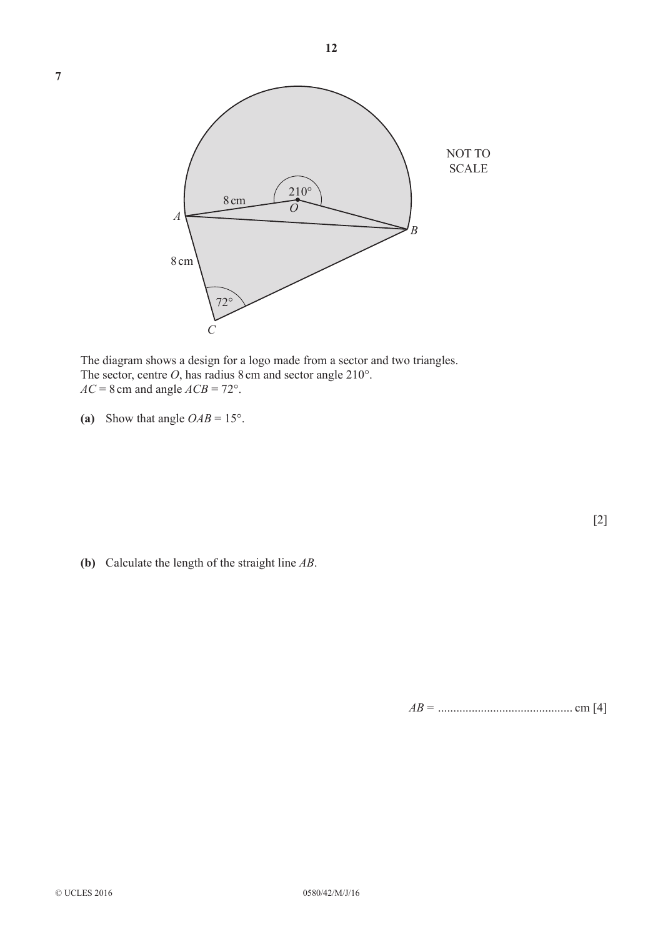

**12**

The diagram shows a design for a logo made from a sector and two triangles. The sector, centre *O*, has radius 8 cm and sector angle 210°.  $AC = 8$  cm and angle  $ACB = 72^{\circ}$ .

(a) Show that angle  $OAB = 15^\circ$ .

[2]

 **(b)**  Calculate the length of the straight line *AB*.

*AB* = ............................................ cm [4]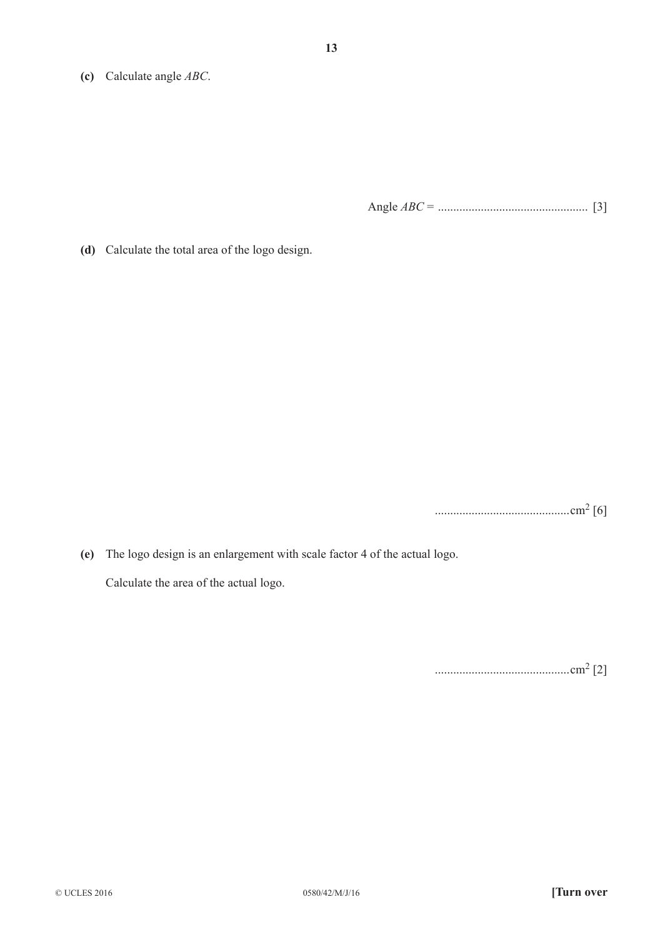**(c)**  Calculate angle *ABC*.

Angle *ABC* = ................................................. [3]

**(d)** Calculate the total area of the logo design.

............................................cm2 [6]

 **(e)**  The logo design is an enlargement with scale factor 4 of the actual logo. Calculate the area of the actual logo.

............................................cm2 [2]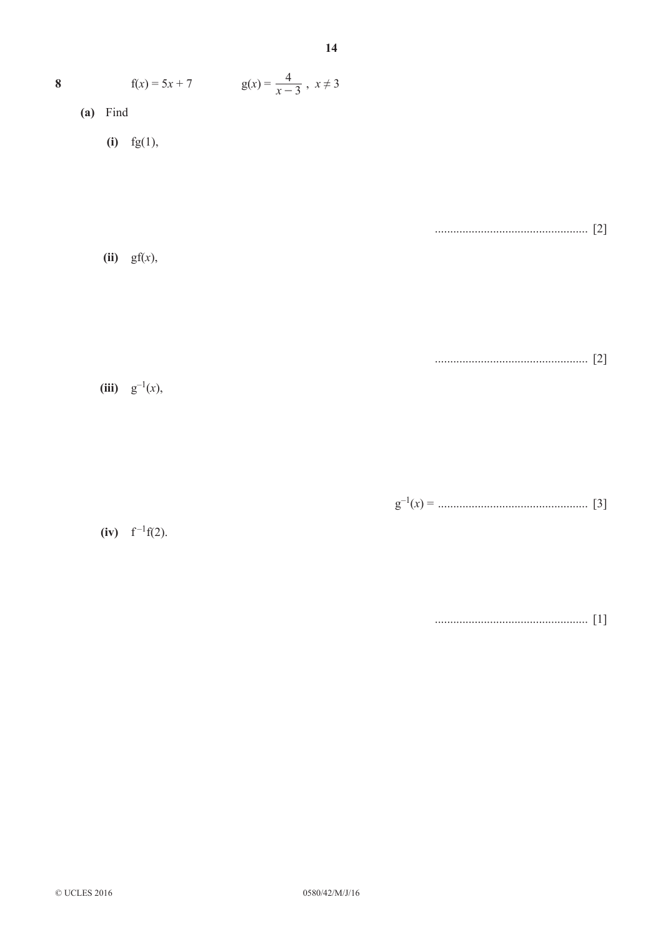| $\boldsymbol{8}$ | $f(x) = 5x + 7$ $g(x) = \frac{4}{x-3}$ , $x \neq 3$ |  |
|------------------|-----------------------------------------------------|--|
| $(a)$ Find       |                                                     |  |
|                  | (i) $fg(1)$ ,                                       |  |
|                  | $(ii)$ gf $(x)$ ,                                   |  |
|                  | (iii) $g^{-1}(x)$ ,                                 |  |
|                  | (iv) $f^{-1}f(2)$ .                                 |  |

14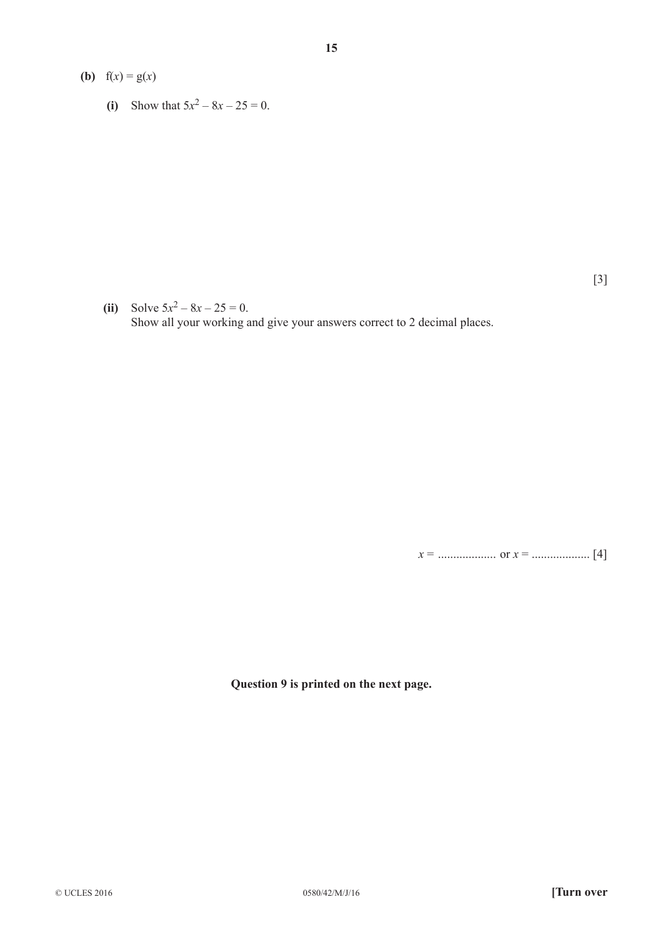- **(b)**  $f(x) = g(x)$ 
	- **(i)** Show that  $5x^2 8x 25 = 0$ .

[3]

**(ii)** Solve  $5x^2 - 8x - 25 = 0$ . Show all your working and give your answers correct to 2 decimal places.

**15**

*x* = ................... or *x* = ................... [4]

**Question 9 is printed on the next page.**